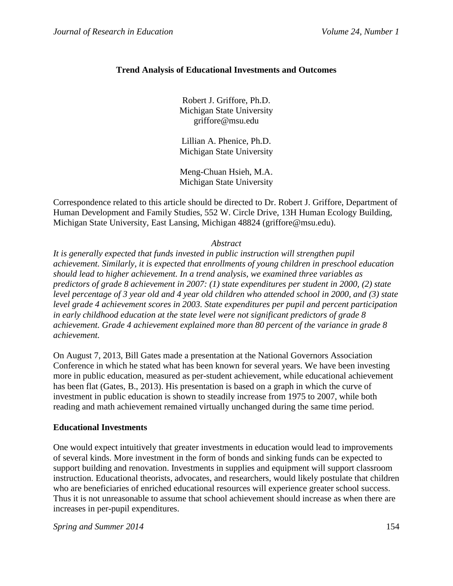# **Trend Analysis of Educational Investments and Outcomes**

Robert J. Griffore, Ph.D. Michigan State University griffore@msu.edu

Lillian A. Phenice, Ph.D. Michigan State University

Meng-Chuan Hsieh, M.A. Michigan State University

Correspondence related to this article should be directed to Dr. Robert J. Griffore, Department of Human Development and Family Studies, 552 W. Circle Drive, 13H Human Ecology Building, Michigan State University, East Lansing, Michigan 48824 (griffore@msu.edu).

*Abstract*

*It is generally expected that funds invested in public instruction will strengthen pupil achievement. Similarly, it is expected that enrollments of young children in preschool education should lead to higher achievement. In a trend analysis, we examined three variables as predictors of grade 8 achievement in 2007: (1) state expenditures per student in 2000, (2) state level percentage of 3 year old and 4 year old children who attended school in 2000, and (3) state level grade 4 achievement scores in 2003. State expenditures per pupil and percent participation in early childhood education at the state level were not significant predictors of grade 8 achievement. Grade 4 achievement explained more than 80 percent of the variance in grade 8 achievement.* 

On August 7, 2013, Bill Gates made a presentation at the National Governors Association Conference in which he stated what has been known for several years. We have been investing more in public education, measured as per-student achievement, while educational achievement has been flat (Gates, B., 2013). His presentation is based on a graph in which the curve of investment in public education is shown to steadily increase from 1975 to 2007, while both reading and math achievement remained virtually unchanged during the same time period.

## **Educational Investments**

One would expect intuitively that greater investments in education would lead to improvements of several kinds. More investment in the form of bonds and sinking funds can be expected to support building and renovation. Investments in supplies and equipment will support classroom instruction. Educational theorists, advocates, and researchers, would likely postulate that children who are beneficiaries of enriched educational resources will experience greater school success. Thus it is not unreasonable to assume that school achievement should increase as when there are increases in per-pupil expenditures.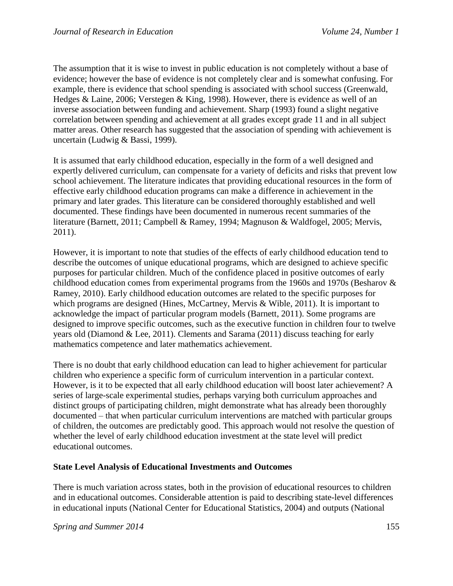The assumption that it is wise to invest in public education is not completely without a base of evidence; however the base of evidence is not completely clear and is somewhat confusing. For example, there is evidence that school spending is associated with school success (Greenwald, Hedges & Laine, 2006; Verstegen & King, 1998). However, there is evidence as well of an inverse association between funding and achievement. Sharp (1993) found a slight negative correlation between spending and achievement at all grades except grade 11 and in all subject matter areas. Other research has suggested that the association of spending with achievement is uncertain (Ludwig & Bassi, 1999).

It is assumed that early childhood education, especially in the form of a well designed and expertly delivered curriculum, can compensate for a variety of deficits and risks that prevent low school achievement. The literature indicates that providing educational resources in the form of effective early childhood education programs can make a difference in achievement in the primary and later grades. This literature can be considered thoroughly established and well documented. These findings have been documented in numerous recent summaries of the literature (Barnett, 2011; Campbell & Ramey, 1994; Magnuson & Waldfogel, 2005; Mervis, 2011).

However, it is important to note that studies of the effects of early childhood education tend to describe the outcomes of unique educational programs, which are designed to achieve specific purposes for particular children. Much of the confidence placed in positive outcomes of early childhood education comes from experimental programs from the 1960s and 1970s (Besharov & Ramey, 2010). Early childhood education outcomes are related to the specific purposes for which programs are designed (Hines, McCartney, Mervis & Wible, 2011). It is important to acknowledge the impact of particular program models (Barnett, 2011). Some programs are designed to improve specific outcomes, such as the executive function in children four to twelve years old (Diamond & Lee, 2011). Clements and Sarama (2011) discuss teaching for early mathematics competence and later mathematics achievement.

There is no doubt that early childhood education can lead to higher achievement for particular children who experience a specific form of curriculum intervention in a particular context. However, is it to be expected that all early childhood education will boost later achievement? A series of large-scale experimental studies, perhaps varying both curriculum approaches and distinct groups of participating children, might demonstrate what has already been thoroughly documented – that when particular curriculum interventions are matched with particular groups of children, the outcomes are predictably good. This approach would not resolve the question of whether the level of early childhood education investment at the state level will predict educational outcomes.

## **State Level Analysis of Educational Investments and Outcomes**

There is much variation across states, both in the provision of educational resources to children and in educational outcomes. Considerable attention is paid to describing state-level differences in educational inputs (National Center for Educational Statistics, 2004) and outputs (National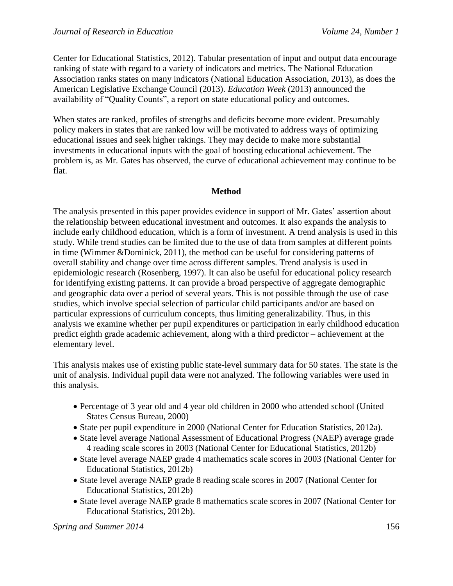Center for Educational Statistics, 2012). Tabular presentation of input and output data encourage ranking of state with regard to a variety of indicators and metrics. The National Education Association ranks states on many indicators (National Education Association, 2013), as does the American Legislative Exchange Council (2013). *Education Week* (2013) announced the availability of "Quality Counts", a report on state educational policy and outcomes.

When states are ranked, profiles of strengths and deficits become more evident. Presumably policy makers in states that are ranked low will be motivated to address ways of optimizing educational issues and seek higher rakings. They may decide to make more substantial investments in educational inputs with the goal of boosting educational achievement. The problem is, as Mr. Gates has observed, the curve of educational achievement may continue to be flat.

## **Method**

The analysis presented in this paper provides evidence in support of Mr. Gates' assertion about the relationship between educational investment and outcomes. It also expands the analysis to include early childhood education, which is a form of investment. A trend analysis is used in this study. While trend studies can be limited due to the use of data from samples at different points in time (Wimmer &Dominick, 2011), the method can be useful for considering patterns of overall stability and change over time across different samples. Trend analysis is used in epidemiologic research (Rosenberg, 1997). It can also be useful for educational policy research for identifying existing patterns. It can provide a broad perspective of aggregate demographic and geographic data over a period of several years. This is not possible through the use of case studies, which involve special selection of particular child participants and/or are based on particular expressions of curriculum concepts, thus limiting generalizability. Thus, in this analysis we examine whether per pupil expenditures or participation in early childhood education predict eighth grade academic achievement, along with a third predictor – achievement at the elementary level.

This analysis makes use of existing public state-level summary data for 50 states. The state is the unit of analysis. Individual pupil data were not analyzed. The following variables were used in this analysis.

- Percentage of 3 year old and 4 year old children in 2000 who attended school (United States Census Bureau, 2000)
- State per pupil expenditure in 2000 (National Center for Education Statistics, 2012a).
- State level average National Assessment of Educational Progress (NAEP) average grade 4 reading scale scores in 2003 (National Center for Educational Statistics, 2012b)
- State level average NAEP grade 4 mathematics scale scores in 2003 (National Center for Educational Statistics, 2012b)
- State level average NAEP grade 8 reading scale scores in 2007 (National Center for Educational Statistics, 2012b)
- State level average NAEP grade 8 mathematics scale scores in 2007 (National Center for Educational Statistics, 2012b).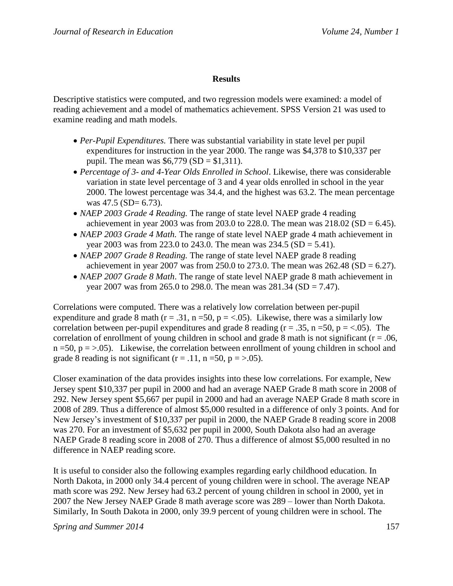## **Results**

Descriptive statistics were computed, and two regression models were examined: a model of reading achievement and a model of mathematics achievement. SPSS Version 21 was used to examine reading and math models.

- *Per-Pupil Expenditures.* There was substantial variability in state level per pupil expenditures for instruction in the year 2000. The range was \$4,378 to \$10,337 per pupil. The mean was  $$6,779$  (SD = \$1,311).
- *Percentage of 3- and 4-Year Olds Enrolled in School*. Likewise, there was considerable variation in state level percentage of 3 and 4 year olds enrolled in school in the year 2000. The lowest percentage was 34.4, and the highest was 63.2. The mean percentage was  $47.5$  (SD= 6.73).
- *NAEP 2003 Grade 4 Reading.* The range of state level NAEP grade 4 reading achievement in year 2003 was from 203.0 to 228.0. The mean was  $218.02$  (SD = 6.45).
- *NAEP 2003 Grade 4 Math.* The range of state level NAEP grade 4 math achievement in year 2003 was from 223.0 to 243.0. The mean was  $234.5$  (SD = 5.41).
- *NAEP 2007 Grade 8 Reading.* The range of state level NAEP grade 8 reading achievement in year 2007 was from 250.0 to 273.0. The mean was  $262.48$  (SD = 6.27).
- *NAEP 2007 Grade 8 Math*. The range of state level NAEP grade 8 math achievement in year 2007 was from 265.0 to 298.0. The mean was  $281.34$  (SD = 7.47).

Correlations were computed. There was a relatively low correlation between per-pupil expenditure and grade 8 math ( $r = .31$ ,  $n = 50$ ,  $p = < .05$ ). Likewise, there was a similarly low correlation between per-pupil expenditures and grade 8 reading ( $r = .35$ ,  $n = 50$ ,  $p = < .05$ ). The correlation of enrollment of young children in school and grade 8 math is not significant ( $r = .06$ ,  $n = 50$ ,  $p = > .05$ ). Likewise, the correlation between enrollment of young children in school and grade 8 reading is not significant ( $r = .11$ ,  $n = 50$ ,  $p = > .05$ ).

Closer examination of the data provides insights into these low correlations. For example, New Jersey spent \$10,337 per pupil in 2000 and had an average NAEP Grade 8 math score in 2008 of 292. New Jersey spent \$5,667 per pupil in 2000 and had an average NAEP Grade 8 math score in 2008 of 289. Thus a difference of almost \$5,000 resulted in a difference of only 3 points. And for New Jersey's investment of \$10,337 per pupil in 2000, the NAEP Grade 8 reading score in 2008 was 270. For an investment of \$5,632 per pupil in 2000, South Dakota also had an average NAEP Grade 8 reading score in 2008 of 270. Thus a difference of almost \$5,000 resulted in no difference in NAEP reading score.

It is useful to consider also the following examples regarding early childhood education. In North Dakota, in 2000 only 34.4 percent of young children were in school. The average NEAP math score was 292. New Jersey had 63.2 percent of young children in school in 2000, yet in 2007 the New Jersey NAEP Grade 8 math average score was 289 – lower than North Dakota. Similarly, In South Dakota in 2000, only 39.9 percent of young children were in school. The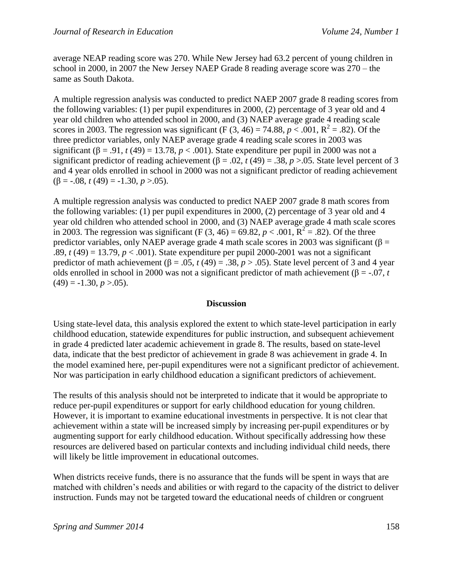average NEAP reading score was 270. While New Jersey had 63.2 percent of young children in school in 2000, in 2007 the New Jersey NAEP Grade 8 reading average score was 270 – the same as South Dakota.

A multiple regression analysis was conducted to predict NAEP 2007 grade 8 reading scores from the following variables: (1) per pupil expenditures in 2000, (2) percentage of 3 year old and 4 year old children who attended school in 2000, and (3) NAEP average grade 4 reading scale scores in 2003. The regression was significant (F  $(3, 46) = 74.88$ ,  $p < .001$ ,  $R^2 = .82$ ). Of the three predictor variables, only NAEP average grade 4 reading scale scores in 2003 was significant  $(\beta = .91, t(49) = 13.78, p < .001)$ . State expenditure per pupil in 2000 was not a significant predictor of reading achievement ( $\beta$  = .02, *t* (49) = .38, *p* >.05. State level percent of 3 and 4 year olds enrolled in school in 2000 was not a significant predictor of reading achievement  $(\beta = -.08, t(49) = -1.30, p > .05).$ 

A multiple regression analysis was conducted to predict NAEP 2007 grade 8 math scores from the following variables: (1) per pupil expenditures in 2000, (2) percentage of 3 year old and 4 year old children who attended school in 2000, and (3) NAEP average grade 4 math scale scores in 2003. The regression was significant (F (3, 46) = 69.82,  $p < .001$ ,  $\overline{R^2} = .82$ ). Of the three predictor variables, only NAEP average grade 4 math scale scores in 2003 was significant ( $\beta$  = .89,  $t(49) = 13.79$ ,  $p < .001$ ). State expenditure per pupil 2000-2001 was not a significant predictor of math achievement ( $\beta$  = .05, *t* (49) = .38, *p* > .05). State level percent of 3 and 4 year olds enrolled in school in 2000 was not a significant predictor of math achievement ( $\beta$  = -.07, *t*  $(49) = -1.30, p > 0.05$ .

### **Discussion**

Using state-level data, this analysis explored the extent to which state-level participation in early childhood education, statewide expenditures for public instruction, and subsequent achievement in grade 4 predicted later academic achievement in grade 8. The results, based on state-level data, indicate that the best predictor of achievement in grade 8 was achievement in grade 4. In the model examined here, per-pupil expenditures were not a significant predictor of achievement. Nor was participation in early childhood education a significant predictors of achievement.

The results of this analysis should not be interpreted to indicate that it would be appropriate to reduce per-pupil expenditures or support for early childhood education for young children. However, it is important to examine educational investments in perspective. It is not clear that achievement within a state will be increased simply by increasing per-pupil expenditures or by augmenting support for early childhood education. Without specifically addressing how these resources are delivered based on particular contexts and including individual child needs, there will likely be little improvement in educational outcomes.

When districts receive funds, there is no assurance that the funds will be spent in ways that are matched with children's needs and abilities or with regard to the capacity of the district to deliver instruction. Funds may not be targeted toward the educational needs of children or congruent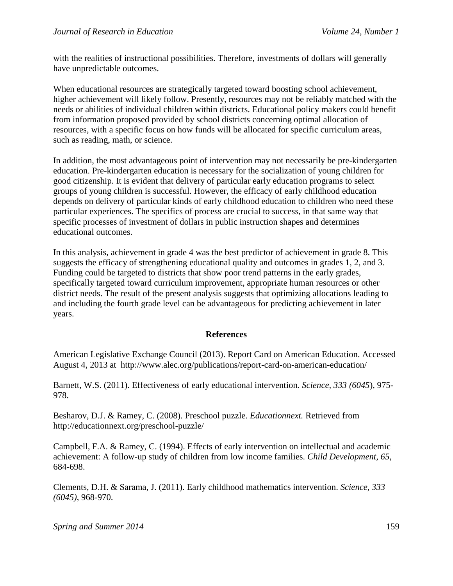with the realities of instructional possibilities. Therefore, investments of dollars will generally have unpredictable outcomes.

When educational resources are strategically targeted toward boosting school achievement, higher achievement will likely follow. Presently, resources may not be reliably matched with the needs or abilities of individual children within districts. Educational policy makers could benefit from information proposed provided by school districts concerning optimal allocation of resources, with a specific focus on how funds will be allocated for specific curriculum areas, such as reading, math, or science.

In addition, the most advantageous point of intervention may not necessarily be pre-kindergarten education. Pre-kindergarten education is necessary for the socialization of young children for good citizenship. It is evident that delivery of particular early education programs to select groups of young children is successful. However, the efficacy of early childhood education depends on delivery of particular kinds of early childhood education to children who need these particular experiences. The specifics of process are crucial to success, in that same way that specific processes of investment of dollars in public instruction shapes and determines educational outcomes.

In this analysis, achievement in grade 4 was the best predictor of achievement in grade 8. This suggests the efficacy of strengthening educational quality and outcomes in grades 1, 2, and 3. Funding could be targeted to districts that show poor trend patterns in the early grades, specifically targeted toward curriculum improvement, appropriate human resources or other district needs. The result of the present analysis suggests that optimizing allocations leading to and including the fourth grade level can be advantageous for predicting achievement in later years.

### **References**

American Legislative Exchange Council (2013). Report Card on American Education. Accessed August 4, 2013 at http://www.alec.org/publications/report-card-on-american-education/

Barnett, W.S. (2011). Effectiveness of early educational intervention. *Science, 333 (6045*), 975- 978.

Besharov, D.J. & Ramey, C. (2008). Preschool puzzle. *Educationnext.* Retrieved from <http://educationnext.org/preschool-puzzle/>

Campbell, F.A. & Ramey, C. (1994). Effects of early intervention on intellectual and academic achievement: A follow-up study of children from low income families. *Child Development, 65*, 684-698.

Clements, D.H. & Sarama, J. (2011). Early childhood mathematics intervention. *Science, 333 (6045)*, 968-970.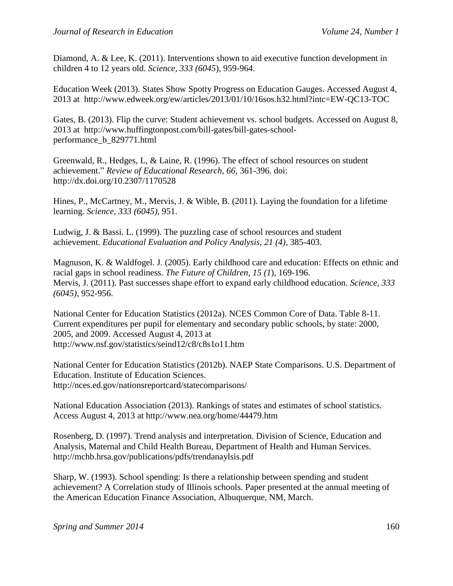Diamond, A. & Lee, K. (2011). Interventions shown to aid executive function development in children 4 to 12 years old. *Science, 333 (6045*), 959-964.

Education Week (2013). States Show Spotty Progress on Education Gauges. Accessed August 4, 2013 at http://www.edweek.org/ew/articles/2013/01/10/16sos.h32.html?intc=EW-QC13-TOC

Gates, B. (2013). Flip the curve: Student achievement vs. school budgets. Accessed on August 8, 2013 at http://www.huffingtonpost.com/bill-gates/bill-gates-schoolperformance\_b\_829771.html

Greenwald, R., Hedges, L, & Laine, R. (1996). The effect of school resources on student achievement." *Review of Educational Research, 66,* 361-396. doi: http://dx.doi.org/10.2307/1170528

Hines, P., McCartney, M., Mervis, J. & Wible, B. (2011). Laying the foundation for a lifetime learning. *Science, 333 (6045),* 951.

Ludwig, J. & Bassi. L. (1999). The puzzling case of school resources and student achievement. *Educational Evaluation and Policy Analysis, 21 (4)*, 385-403.

Magnuson, K. & Waldfogel. J. (2005). Early childhood care and education: Effects on ethnic and racial gaps in school readiness. *The Future of Children, 15 (1*), 169-196. Mervis, J. (2011). Past successes shape effort to expand early childhood education. *Science, 333 (6045)*, 952-956.

National Center for Education Statistics (2012a). NCES Common Core of Data. Table 8-11. Current expenditures per pupil for elementary and secondary public schools, by state: 2000, 2005, and 2009. Accessed August 4, 2013 at http://www.nsf.gov/statistics/seind12/c8/c8s1o11.htm

National Center for Education Statistics (2012b). NAEP State Comparisons. U.S. Department of Education. Institute of Education Sciences. http://nces.ed.gov/nationsreportcard/statecomparisons/

National Education Association (2013). Rankings of states and estimates of school statistics. Access August 4, 2013 at http://www.nea.org/home/44479.htm

Rosenberg, D. (1997). Trend analysis and interpretation. Division of Science, Education and Analysis, Maternal and Child Health Bureau, Department of Health and Human Services. http://mchb.hrsa.gov/publications/pdfs/trendanaylsis.pdf

Sharp, W. (1993). School spending: Is there a relationship between spending and student achievement? A Correlation study of Illinois schools. Paper presented at the annual meeting of the American Education Finance Association, Albuquerque, NM, March.